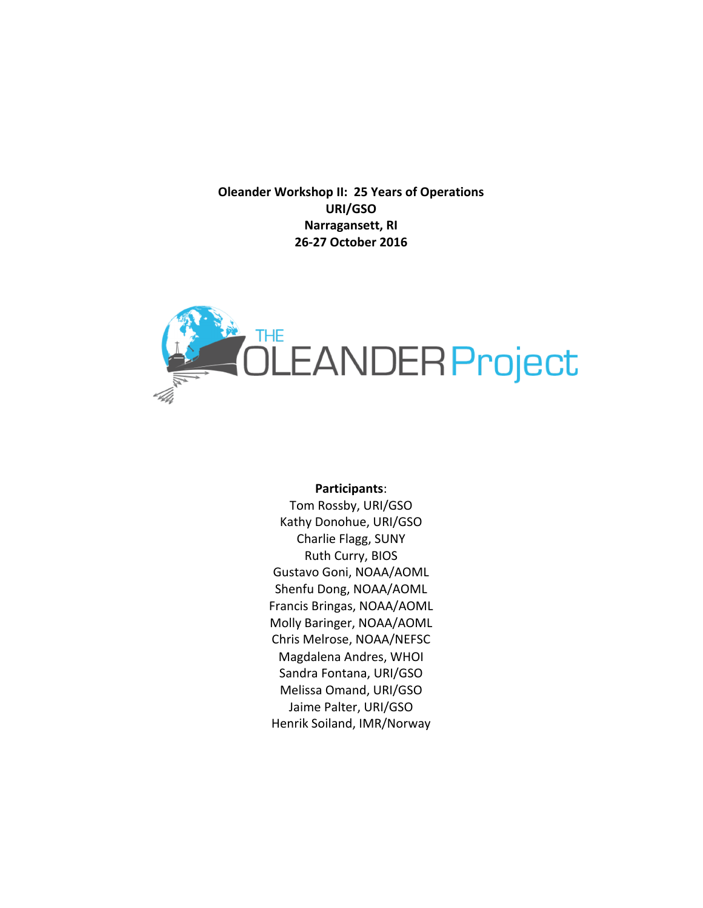**Oleander Workshop II: 25 Years of Operations URI/GSO Narragansett, RI 26-27 October 2016**



#### **Participants**:

Tom Rossby, URI/GSO Kathy Donohue, URI/GSO Charlie Flagg, SUNY Ruth Curry, BIOS Gustavo Goni, NOAA/AOML Shenfu Dong, NOAA/AOML Francis Bringas, NOAA/AOML Molly Baringer, NOAA/AOML Chris Melrose, NOAA/NEFSC Magdalena Andres, WHOI Sandra Fontana, URI/GSO Melissa Omand, URI/GSO Jaime Palter, URI/GSO Henrik Soiland, IMR/Norway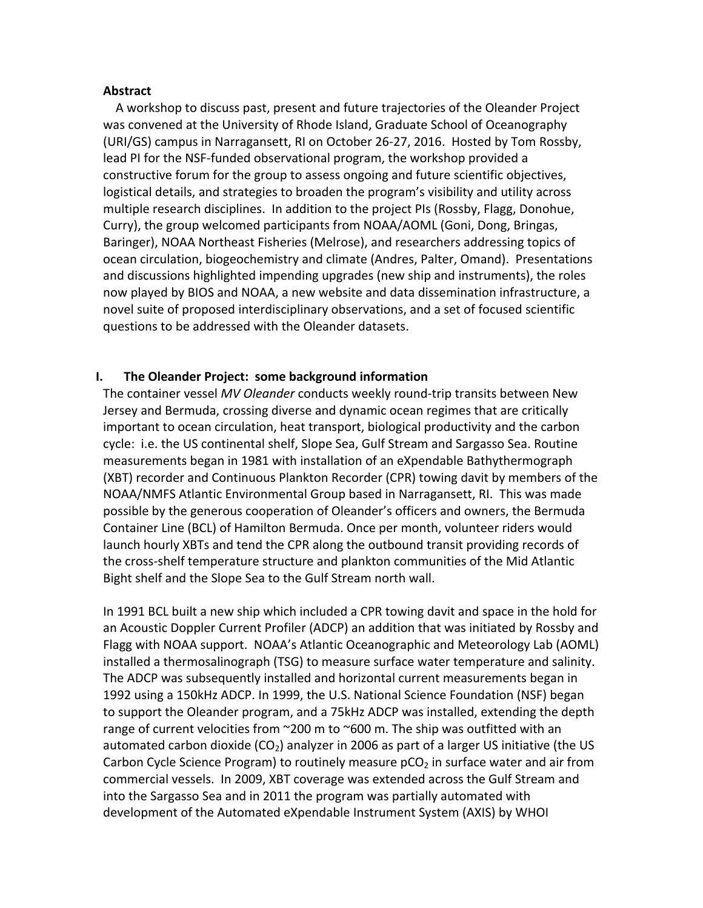#### **Abstract**

A workshop to discuss past, present and future trajectories of the Oleander Project was convened at the University of Rhode Island, Graduate School of Oceanography (URI/GS) campus in Narragansett, RI on October 26-27, 2016. Hosted by Tom Rossby, lead PI for the NSF-funded observational program, the workshop provided a constructive forum for the group to assess ongoing and future scientific objectives, logistical details, and strategies to broaden the program's visibility and utility across multiple research disciplines. In addition to the project PIs (Rossby, Flagg, Donohue, Curry), the group welcomed participants from NOAA/AOML (Goni, Dong, Bringas, Baringer), NOAA Northeast Fisheries (Melrose), and researchers addressing topics of ocean circulation, biogeochemistry and climate (Andres, Palter, Omand). Presentations and discussions highlighted impending upgrades (new ship and instruments), the roles now played by BIOS and NOAA, a new website and data dissemination infrastructure, a novel suite of proposed interdisciplinary observations, and a set of focused scientific questions to be addressed with the Oleander datasets.

#### **I.** The Oleander Project: some background information

The container vessel *MV Oleander* conducts weekly round-trip transits between New Jersey and Bermuda, crossing diverse and dynamic ocean regimes that are critically important to ocean circulation, heat transport, biological productivity and the carbon cycle: i.e. the US continental shelf, Slope Sea, Gulf Stream and Sargasso Sea. Routine measurements began in 1981 with installation of an eXpendable Bathythermograph (XBT) recorder and Continuous Plankton Recorder (CPR) towing davit by members of the NOAA/NMFS Atlantic Environmental Group based in Narragansett, RI. This was made possible by the generous cooperation of Oleander's officers and owners, the Bermuda Container Line (BCL) of Hamilton Bermuda. Once per month, volunteer riders would launch hourly XBTs and tend the CPR along the outbound transit providing records of the cross-shelf temperature structure and plankton communities of the Mid Atlantic Bight shelf and the Slope Sea to the Gulf Stream north wall.

In 1991 BCL built a new ship which included a CPR towing davit and space in the hold for an Acoustic Doppler Current Profiler (ADCP) an addition that was initiated by Rossby and Flagg with NOAA support. NOAA's Atlantic Oceanographic and Meteorology Lab (AOML) installed a thermosalinograph (TSG) to measure surface water temperature and salinity. The ADCP was subsequently installed and horizontal current measurements began in 1992 using a 150kHz ADCP. In 1999, the U.S. National Science Foundation (NSF) began to support the Oleander program, and a 75kHz ADCP was installed, extending the depth range of current velocities from  $\sim$ 200 m to  $\sim$ 600 m. The ship was outfitted with an automated carbon dioxide (CO<sub>2</sub>) analyzer in 2006 as part of a larger US initiative (the US Carbon Cycle Science Program) to routinely measure  $pCO<sub>2</sub>$  in surface water and air from commercial vessels. In 2009, XBT coverage was extended across the Gulf Stream and into the Sargasso Sea and in 2011 the program was partially automated with development of the Automated eXpendable Instrument System (AXIS) by WHOI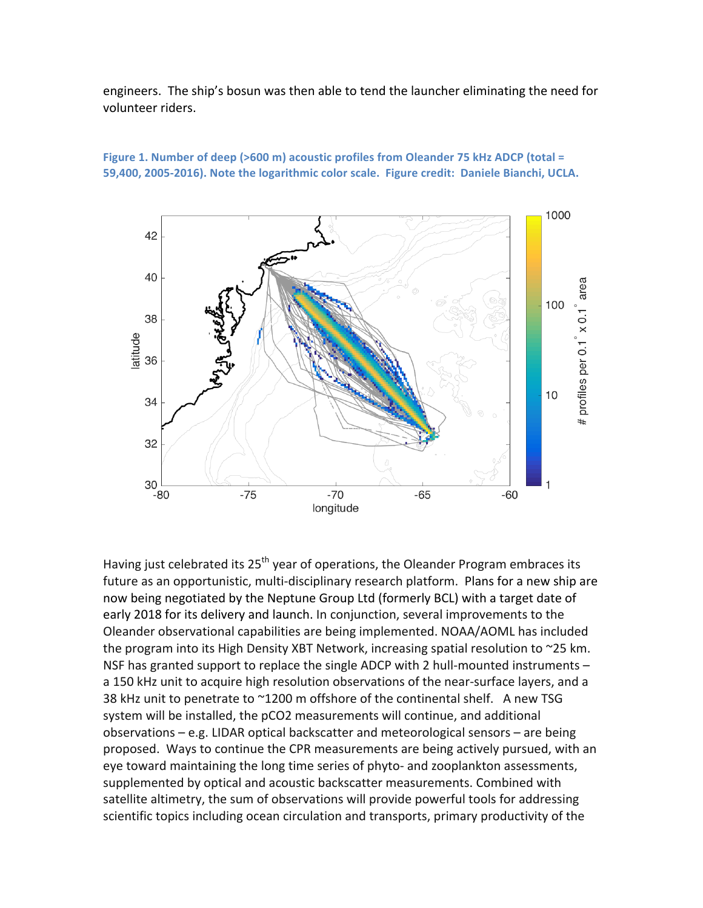engineers. The ship's bosun was then able to tend the launcher eliminating the need for volunteer riders.



**Figure 1. Number of deep (>600 m) acoustic profiles from Oleander 75 kHz ADCP (total =** 59,400, 2005-2016). Note the logarithmic color scale. Figure credit: Daniele Bianchi, UCLA.

Having just celebrated its 25<sup>th</sup> year of operations, the Oleander Program embraces its future as an opportunistic, multi-disciplinary research platform. Plans for a new ship are now being negotiated by the Neptune Group Ltd (formerly BCL) with a target date of early 2018 for its delivery and launch. In conjunction, several improvements to the Oleander observational capabilities are being implemented. NOAA/AOML has included the program into its High Density XBT Network, increasing spatial resolution to  $\sim$ 25 km. NSF has granted support to replace the single ADCP with 2 hull-mounted instruments  $$ a 150 kHz unit to acquire high resolution observations of the near-surface layers, and a 38 kHz unit to penetrate to  $^{\sim}$ 1200 m offshore of the continental shelf. A new TSG system will be installed, the pCO2 measurements will continue, and additional observations  $-$  e.g. LIDAR optical backscatter and meteorological sensors  $-$  are being proposed. Ways to continue the CPR measurements are being actively pursued, with an eye toward maintaining the long time series of phyto- and zooplankton assessments, supplemented by optical and acoustic backscatter measurements. Combined with satellite altimetry, the sum of observations will provide powerful tools for addressing scientific topics including ocean circulation and transports, primary productivity of the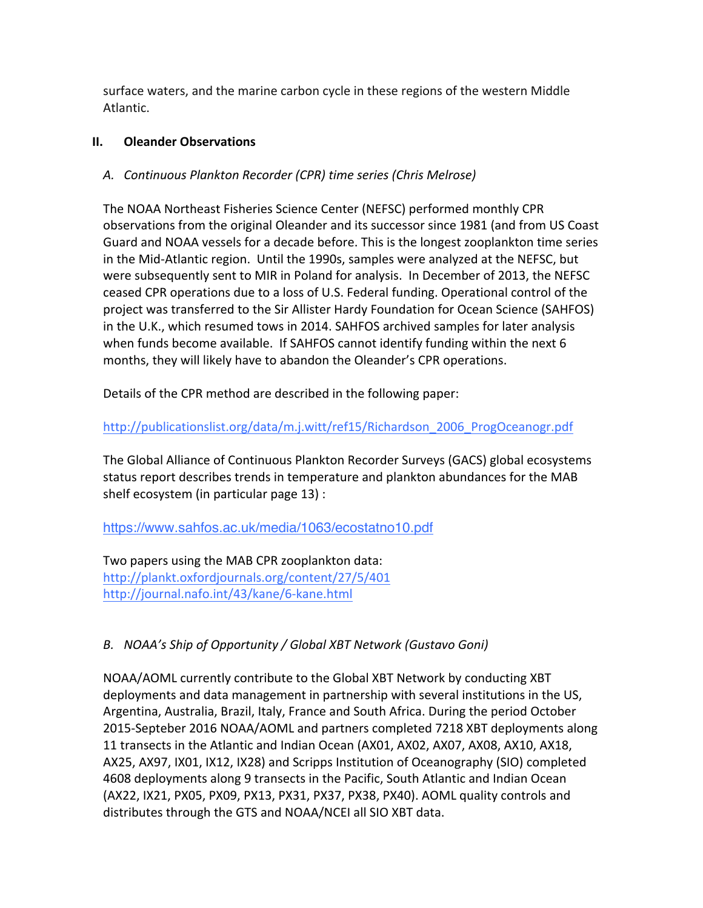surface waters, and the marine carbon cycle in these regions of the western Middle Atlantic.

## **II.** Oleander Observations

# *A. Continuous Plankton Recorder (CPR) time series (Chris Melrose)*

The NOAA Northeast Fisheries Science Center (NEFSC) performed monthly CPR observations from the original Oleander and its successor since 1981 (and from US Coast Guard and NOAA vessels for a decade before. This is the longest zooplankton time series in the Mid-Atlantic region. Until the 1990s, samples were analyzed at the NEFSC, but were subsequently sent to MIR in Poland for analysis. In December of 2013, the NEFSC ceased CPR operations due to a loss of U.S. Federal funding. Operational control of the project was transferred to the Sir Allister Hardy Foundation for Ocean Science (SAHFOS) in the U.K., which resumed tows in 2014. SAHFOS archived samples for later analysis when funds become available. If SAHFOS cannot identify funding within the next 6 months, they will likely have to abandon the Oleander's CPR operations.

Details of the CPR method are described in the following paper:

http://publicationslist.org/data/m.j.witt/ref15/Richardson\_2006\_ProgOceanogr.pdf

The Global Alliance of Continuous Plankton Recorder Surveys (GACS) global ecosystems status report describes trends in temperature and plankton abundances for the MAB shelf ecosystem (in particular page  $13$ ) :

https://www.sahfos.ac.uk/media/1063/ecostatno10.pdf

Two papers using the MAB CPR zooplankton data: http://plankt.oxfordjournals.org/content/27/5/401 http://journal.nafo.int/43/kane/6-kane.html

# B. NOAA's Ship of Opportunity / Global XBT Network (Gustavo Goni)

NOAA/AOML currently contribute to the Global XBT Network by conducting XBT deployments and data management in partnership with several institutions in the US, Argentina, Australia, Brazil, Italy, France and South Africa. During the period October 2015-Septeber 2016 NOAA/AOML and partners completed 7218 XBT deployments along 11 transects in the Atlantic and Indian Ocean (AX01, AX02, AX07, AX08, AX10, AX18, AX25, AX97, IX01, IX12, IX28) and Scripps Institution of Oceanography (SIO) completed 4608 deployments along 9 transects in the Pacific, South Atlantic and Indian Ocean  $(AX22, IX21, PX05, PX09, PX13, PX31, PX37, PX38, PX40). AOML quality controls and$ distributes through the GTS and NOAA/NCEI all SIO XBT data.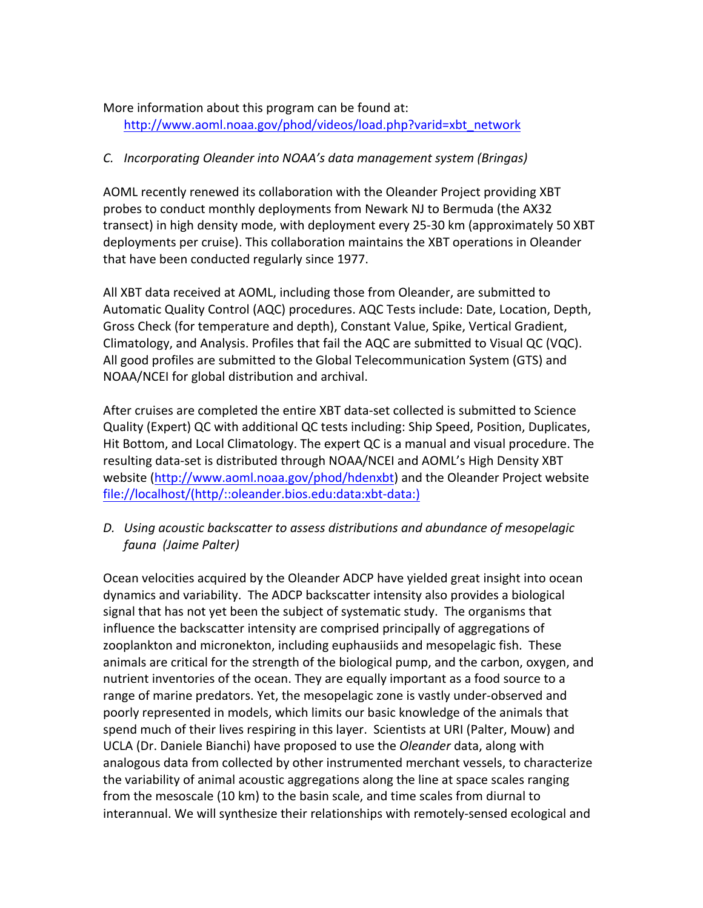# More information about this program can be found at: http://www.aoml.noaa.gov/phod/videos/load.php?varid=xbt\_network

# *C. Incorporating Oleander into NOAA's data management system (Bringas)*

AOML recently renewed its collaboration with the Oleander Project providing XBT probes to conduct monthly deployments from Newark NJ to Bermuda (the AX32 transect) in high density mode, with deployment every 25-30 km (approximately 50 XBT deployments per cruise). This collaboration maintains the XBT operations in Oleander that have been conducted regularly since 1977.

All XBT data received at AOML, including those from Oleander, are submitted to Automatic Quality Control (AQC) procedures. AQC Tests include: Date, Location, Depth, Gross Check (for temperature and depth), Constant Value, Spike, Vertical Gradient, Climatology, and Analysis. Profiles that fail the AQC are submitted to Visual QC (VQC). All good profiles are submitted to the Global Telecommunication System (GTS) and NOAA/NCEI for global distribution and archival.

After cruises are completed the entire XBT data-set collected is submitted to Science Quality (Expert) QC with additional QC tests including: Ship Speed, Position, Duplicates, Hit Bottom, and Local Climatology. The expert QC is a manual and visual procedure. The resulting data-set is distributed through NOAA/NCEI and AOML's High Density XBT website (http://www.aoml.noaa.gov/phod/hdenxbt) and the Oleander Project website file://localhost/(http/::oleander.bios.edu:data:xbt-data:)

# *D. Using acoustic backscatter to assess distributions and abundance of mesopelagic fauna (Jaime Palter)*

Ocean velocities acquired by the Oleander ADCP have yielded great insight into ocean dynamics and variability. The ADCP backscatter intensity also provides a biological signal that has not yet been the subject of systematic study. The organisms that influence the backscatter intensity are comprised principally of aggregations of zooplankton and micronekton, including euphausiids and mesopelagic fish. These animals are critical for the strength of the biological pump, and the carbon, oxygen, and nutrient inventories of the ocean. They are equally important as a food source to a range of marine predators. Yet, the mesopelagic zone is vastly under-observed and poorly represented in models, which limits our basic knowledge of the animals that spend much of their lives respiring in this layer. Scientists at URI (Palter, Mouw) and UCLA (Dr. Daniele Bianchi) have proposed to use the *Oleander* data, along with analogous data from collected by other instrumented merchant vessels, to characterize the variability of animal acoustic aggregations along the line at space scales ranging from the mesoscale (10 km) to the basin scale, and time scales from diurnal to interannual. We will synthesize their relationships with remotely-sensed ecological and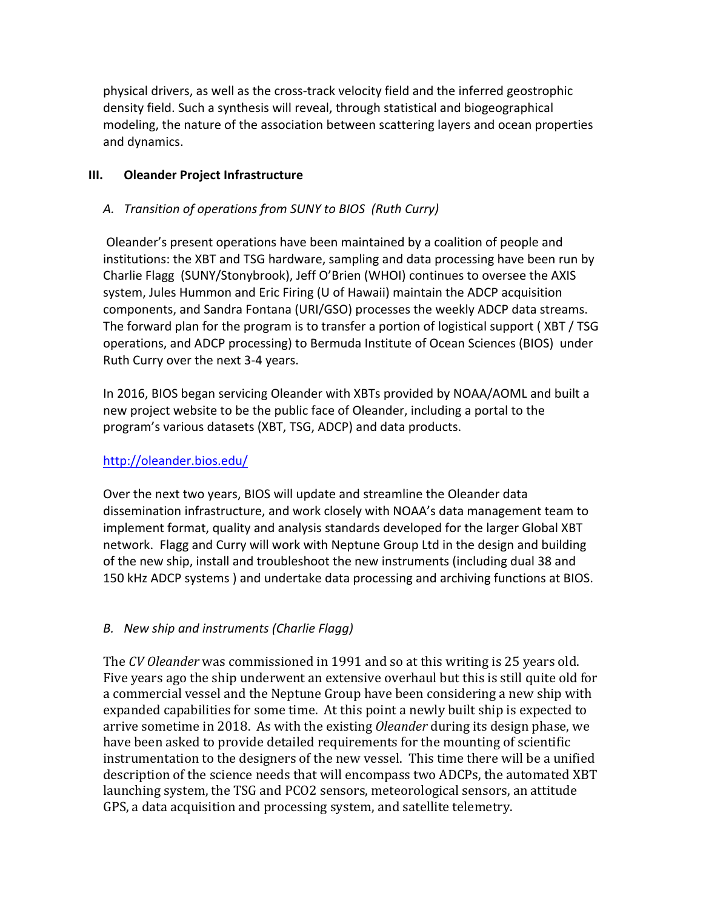physical drivers, as well as the cross-track velocity field and the inferred geostrophic density field. Such a synthesis will reveal, through statistical and biogeographical modeling, the nature of the association between scattering layers and ocean properties and dynamics.

### **III.** Oleander Project Infrastructure

## *A. Transition of operations from SUNY to BIOS (Ruth Curry)*

Oleander's present operations have been maintained by a coalition of people and institutions: the XBT and TSG hardware, sampling and data processing have been run by Charlie Flagg (SUNY/Stonybrook), Jeff O'Brien (WHOI) continues to oversee the AXIS system, Jules Hummon and Eric Firing (U of Hawaii) maintain the ADCP acquisition components, and Sandra Fontana (URI/GSO) processes the weekly ADCP data streams. The forward plan for the program is to transfer a portion of logistical support ( $XBT/TSG$ operations, and ADCP processing) to Bermuda Institute of Ocean Sciences (BIOS) under Ruth Curry over the next 3-4 years.

In 2016, BIOS began servicing Oleander with XBTs provided by NOAA/AOML and built a new project website to be the public face of Oleander, including a portal to the program's various datasets (XBT, TSG, ADCP) and data products.

#### http://oleander.bios.edu/

Over the next two years, BIOS will update and streamline the Oleander data dissemination infrastructure, and work closely with NOAA's data management team to implement format, quality and analysis standards developed for the larger Global XBT network. Flagg and Curry will work with Neptune Group Ltd in the design and building of the new ship, install and troubleshoot the new instruments (including dual 38 and 150 kHz ADCP systems ) and undertake data processing and archiving functions at BIOS.

## *B. New ship and instruments (Charlie Flagg)*

The *CV* Oleander was commissioned in 1991 and so at this writing is 25 years old. Five years ago the ship underwent an extensive overhaul but this is still quite old for a commercial vessel and the Neptune Group have been considering a new ship with expanded capabilities for some time. At this point a newly built ship is expected to arrive sometime in 2018. As with the existing *Oleander* during its design phase, we have been asked to provide detailed requirements for the mounting of scientific instrumentation to the designers of the new vessel. This time there will be a unified description of the science needs that will encompass two ADCPs, the automated XBT launching system, the TSG and PCO2 sensors, meteorological sensors, an attitude GPS, a data acquisition and processing system, and satellite telemetry.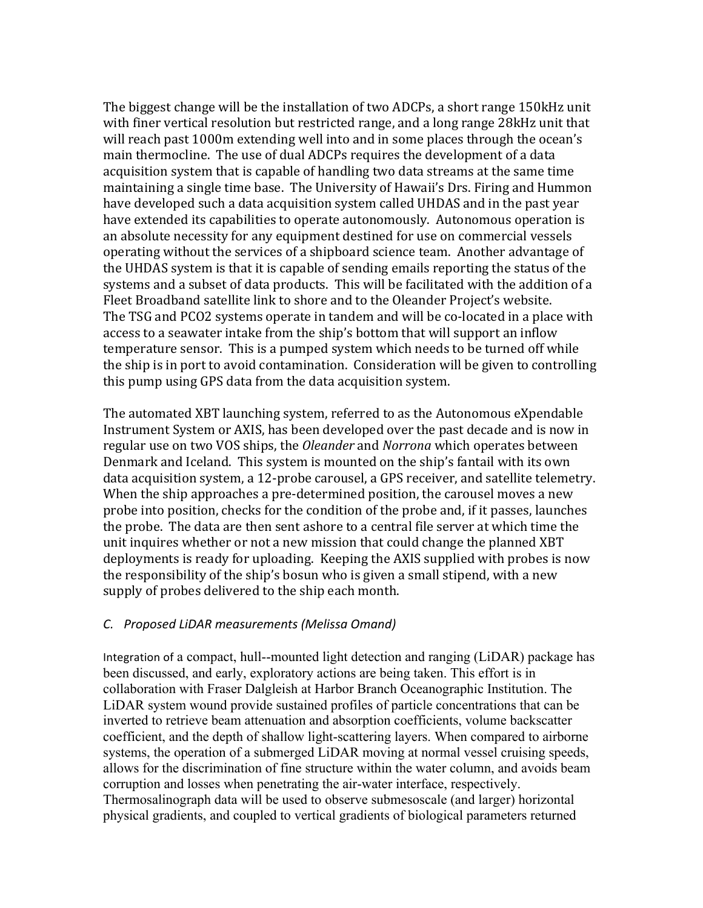The biggest change will be the installation of two ADCPs, a short range 150kHz unit with finer vertical resolution but restricted range, and a long range 28kHz unit that will reach past 1000m extending well into and in some places through the ocean's main thermocline. The use of dual ADCPs requires the development of a data acquisition system that is capable of handling two data streams at the same time maintaining a single time base. The University of Hawaii's Drs. Firing and Hummon have developed such a data acquisition system called UHDAS and in the past year have extended its capabilities to operate autonomously. Autonomous operation is an absolute necessity for any equipment destined for use on commercial vessels operating without the services of a shipboard science team. Another advantage of the UHDAS system is that it is capable of sending emails reporting the status of the systems and a subset of data products. This will be facilitated with the addition of a Fleet Broadband satellite link to shore and to the Oleander Project's website. The TSG and PCO2 systems operate in tandem and will be co-located in a place with access to a seawater intake from the ship's bottom that will support an inflow temperature sensor. This is a pumped system which needs to be turned off while the ship is in port to avoid contamination. Consideration will be given to controlling this pump using GPS data from the data acquisition system.

The automated XBT launching system, referred to as the Autonomous eXpendable Instrument System or AXIS, has been developed over the past decade and is now in regular use on two VOS ships, the *Oleander* and *Norrona* which operates between Denmark and Iceland. This system is mounted on the ship's fantail with its own data acquisition system, a 12-probe carousel, a GPS receiver, and satellite telemetry. When the ship approaches a pre-determined position, the carousel moves a new probe into position, checks for the condition of the probe and, if it passes, launches the probe. The data are then sent ashore to a central file server at which time the unit inquires whether or not a new mission that could change the planned XBT deployments is ready for uploading. Keeping the AXIS supplied with probes is now the responsibility of the ship's bosun who is given a small stipend, with a new supply of probes delivered to the ship each month.

#### *C. Proposed LiDAR measurements (Melissa Omand)*

Integration of a compact, hull--mounted light detection and ranging (LiDAR) package has been discussed, and early, exploratory actions are being taken. This effort is in collaboration with Fraser Dalgleish at Harbor Branch Oceanographic Institution. The LiDAR system wound provide sustained profiles of particle concentrations that can be inverted to retrieve beam attenuation and absorption coefficients, volume backscatter coefficient, and the depth of shallow light-scattering layers. When compared to airborne systems, the operation of a submerged LiDAR moving at normal vessel cruising speeds, allows for the discrimination of fine structure within the water column, and avoids beam corruption and losses when penetrating the air-water interface, respectively. Thermosalinograph data will be used to observe submesoscale (and larger) horizontal physical gradients, and coupled to vertical gradients of biological parameters returned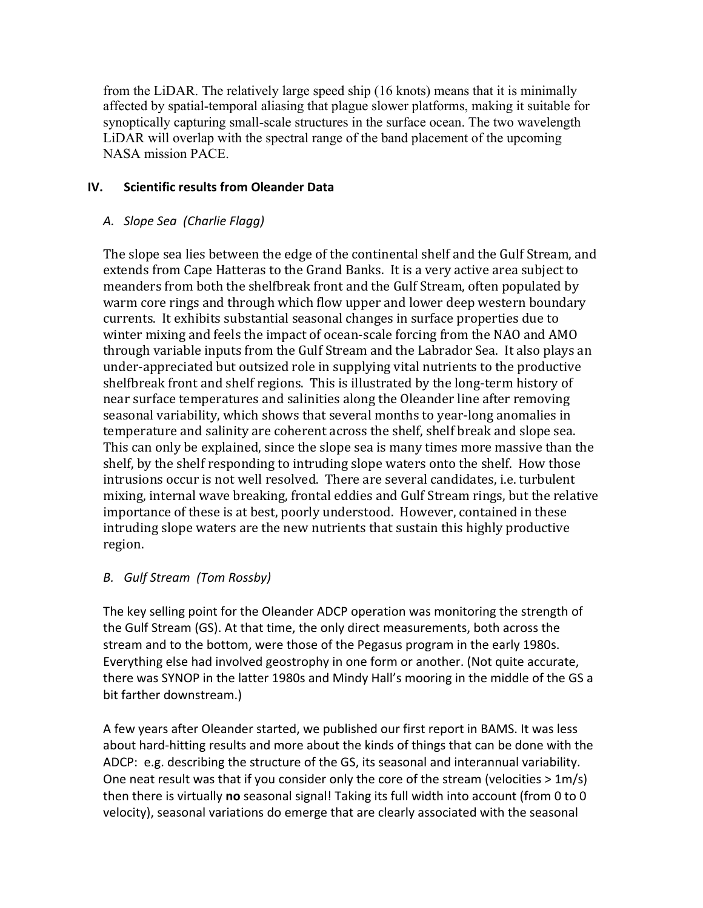from the LiDAR. The relatively large speed ship (16 knots) means that it is minimally affected by spatial-temporal aliasing that plague slower platforms, making it suitable for synoptically capturing small-scale structures in the surface ocean. The two wavelength LiDAR will overlap with the spectral range of the band placement of the upcoming NASA mission PACE.

### **IV.** Scientific results from Oleander Data

## *A. Slope Sea (Charlie Flagg)*

The slope sea lies between the edge of the continental shelf and the Gulf Stream, and extends from Cape Hatteras to the Grand Banks. It is a very active area subject to meanders from both the shelfbreak front and the Gulf Stream, often populated by warm core rings and through which flow upper and lower deep western boundary currents. It exhibits substantial seasonal changes in surface properties due to winter mixing and feels the impact of ocean-scale forcing from the NAO and AMO through variable inputs from the Gulf Stream and the Labrador Sea. It also plays an under-appreciated but outsized role in supplying vital nutrients to the productive shelfbreak front and shelf regions. This is illustrated by the long-term history of near surface temperatures and salinities along the Oleander line after removing seasonal variability, which shows that several months to year-long anomalies in temperature and salinity are coherent across the shelf, shelf break and slope sea. This can only be explained, since the slope sea is many times more massive than the shelf, by the shelf responding to intruding slope waters onto the shelf. How those intrusions occur is not well resolved. There are several candidates, i.e. turbulent mixing, internal wave breaking, frontal eddies and Gulf Stream rings, but the relative importance of these is at best, poorly understood. However, contained in these intruding slope waters are the new nutrients that sustain this highly productive region.

## *B. Gulf Stream (Tom Rossby)*

The key selling point for the Oleander ADCP operation was monitoring the strength of the Gulf Stream (GS). At that time, the only direct measurements, both across the stream and to the bottom, were those of the Pegasus program in the early 1980s. Everything else had involved geostrophy in one form or another. (Not quite accurate, there was SYNOP in the latter 1980s and Mindy Hall's mooring in the middle of the GS a bit farther downstream.)

A few years after Oleander started, we published our first report in BAMS. It was less about hard-hitting results and more about the kinds of things that can be done with the ADCP: e.g. describing the structure of the GS, its seasonal and interannual variability. One neat result was that if you consider only the core of the stream (velocities  $> 1$ m/s) then there is virtually **no** seasonal signal! Taking its full width into account (from 0 to 0 velocity), seasonal variations do emerge that are clearly associated with the seasonal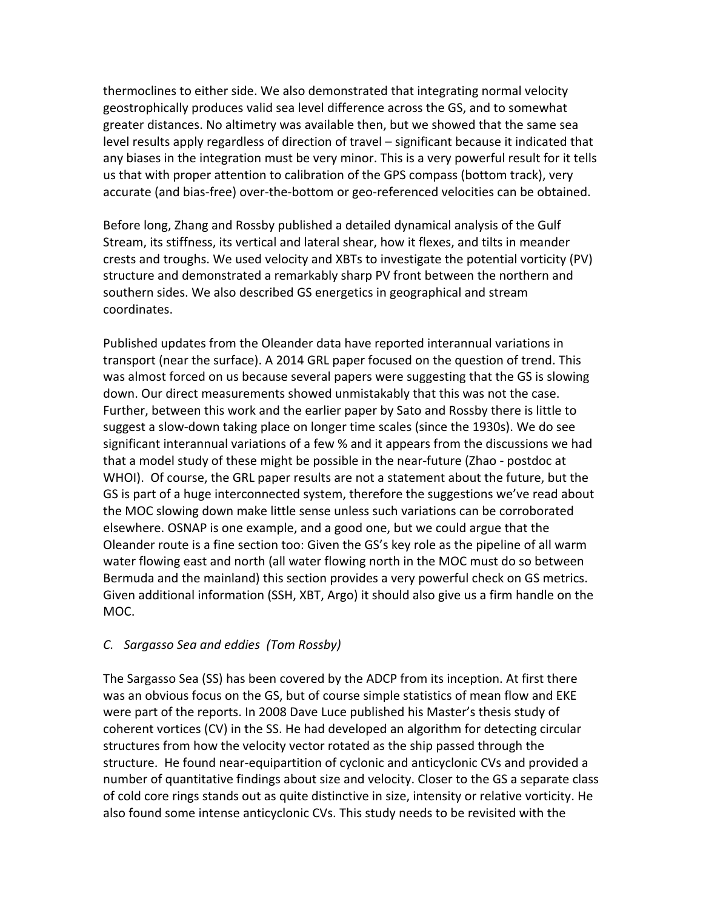thermoclines to either side. We also demonstrated that integrating normal velocity geostrophically produces valid sea level difference across the GS, and to somewhat greater distances. No altimetry was available then, but we showed that the same sea level results apply regardless of direction of travel – significant because it indicated that any biases in the integration must be very minor. This is a very powerful result for it tells us that with proper attention to calibration of the GPS compass (bottom track), very accurate (and bias-free) over-the-bottom or geo-referenced velocities can be obtained.

Before long, Zhang and Rossby published a detailed dynamical analysis of the Gulf Stream, its stiffness, its vertical and lateral shear, how it flexes, and tilts in meander crests and troughs. We used velocity and XBTs to investigate the potential vorticity  $(PV)$ structure and demonstrated a remarkably sharp PV front between the northern and southern sides. We also described GS energetics in geographical and stream coordinates.

Published updates from the Oleander data have reported interannual variations in transport (near the surface). A 2014 GRL paper focused on the question of trend. This was almost forced on us because several papers were suggesting that the GS is slowing down. Our direct measurements showed unmistakably that this was not the case. Further, between this work and the earlier paper by Sato and Rossby there is little to suggest a slow-down taking place on longer time scales (since the 1930s). We do see significant interannual variations of a few % and it appears from the discussions we had that a model study of these might be possible in the near-future (Zhao - postdoc at WHOI). Of course, the GRL paper results are not a statement about the future, but the GS is part of a huge interconnected system, therefore the suggestions we've read about the MOC slowing down make little sense unless such variations can be corroborated elsewhere. OSNAP is one example, and a good one, but we could argue that the Oleander route is a fine section too: Given the GS's key role as the pipeline of all warm water flowing east and north (all water flowing north in the MOC must do so between Bermuda and the mainland) this section provides a very powerful check on GS metrics. Given additional information (SSH, XBT, Argo) it should also give us a firm handle on the MOC. 

## *C. Sargasso Sea and eddies (Tom Rossby)*

The Sargasso Sea (SS) has been covered by the ADCP from its inception. At first there was an obvious focus on the GS, but of course simple statistics of mean flow and EKE were part of the reports. In 2008 Dave Luce published his Master's thesis study of coherent vortices (CV) in the SS. He had developed an algorithm for detecting circular structures from how the velocity vector rotated as the ship passed through the structure. He found near-equipartition of cyclonic and anticyclonic CVs and provided a number of quantitative findings about size and velocity. Closer to the GS a separate class of cold core rings stands out as quite distinctive in size, intensity or relative vorticity. He also found some intense anticyclonic CVs. This study needs to be revisited with the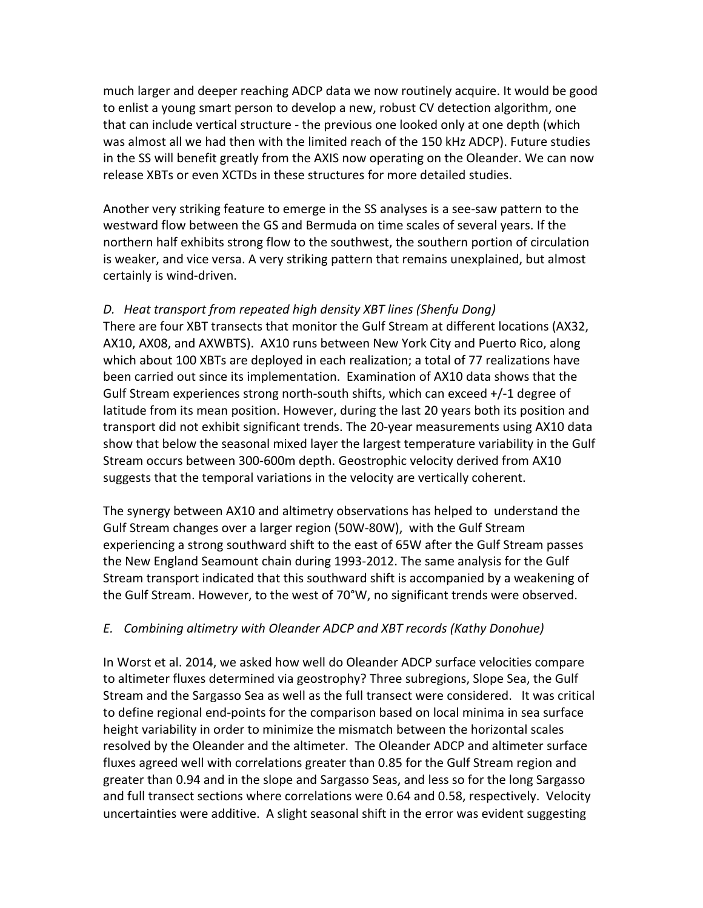much larger and deeper reaching ADCP data we now routinely acquire. It would be good to enlist a young smart person to develop a new, robust CV detection algorithm, one that can include vertical structure - the previous one looked only at one depth (which was almost all we had then with the limited reach of the 150 kHz ADCP). Future studies in the SS will benefit greatly from the AXIS now operating on the Oleander. We can now release XBTs or even XCTDs in these structures for more detailed studies.

Another very striking feature to emerge in the SS analyses is a see-saw pattern to the westward flow between the GS and Bermuda on time scales of several years. If the northern half exhibits strong flow to the southwest, the southern portion of circulation is weaker, and vice versa. A very striking pattern that remains unexplained, but almost certainly is wind-driven.

#### *D. Heat transport from repeated high density XBT lines (Shenfu Dong)*

There are four XBT transects that monitor the Gulf Stream at different locations (AX32, AX10, AX08, and AXWBTS). AX10 runs between New York City and Puerto Rico, along which about 100 XBTs are deployed in each realization; a total of 77 realizations have been carried out since its implementation. Examination of AX10 data shows that the Gulf Stream experiences strong north-south shifts, which can exceed +/-1 degree of latitude from its mean position. However, during the last 20 years both its position and transport did not exhibit significant trends. The 20-year measurements using AX10 data show that below the seasonal mixed layer the largest temperature variability in the Gulf Stream occurs between 300-600m depth. Geostrophic velocity derived from AX10 suggests that the temporal variations in the velocity are vertically coherent.

The synergy between AX10 and altimetry observations has helped to understand the Gulf Stream changes over a larger region (50W-80W), with the Gulf Stream experiencing a strong southward shift to the east of 65W after the Gulf Stream passes the New England Seamount chain during 1993-2012. The same analysis for the Gulf Stream transport indicated that this southward shift is accompanied by a weakening of the Gulf Stream. However, to the west of 70°W, no significant trends were observed.

#### *E. Combining altimetry with Oleander ADCP and XBT records (Kathy Donohue)*

In Worst et al. 2014, we asked how well do Oleander ADCP surface velocities compare to altimeter fluxes determined via geostrophy? Three subregions, Slope Sea, the Gulf Stream and the Sargasso Sea as well as the full transect were considered. It was critical to define regional end-points for the comparison based on local minima in sea surface height variability in order to minimize the mismatch between the horizontal scales resolved by the Oleander and the altimeter. The Oleander ADCP and altimeter surface fluxes agreed well with correlations greater than 0.85 for the Gulf Stream region and greater than 0.94 and in the slope and Sargasso Seas, and less so for the long Sargasso and full transect sections where correlations were 0.64 and 0.58, respectively. Velocity uncertainties were additive. A slight seasonal shift in the error was evident suggesting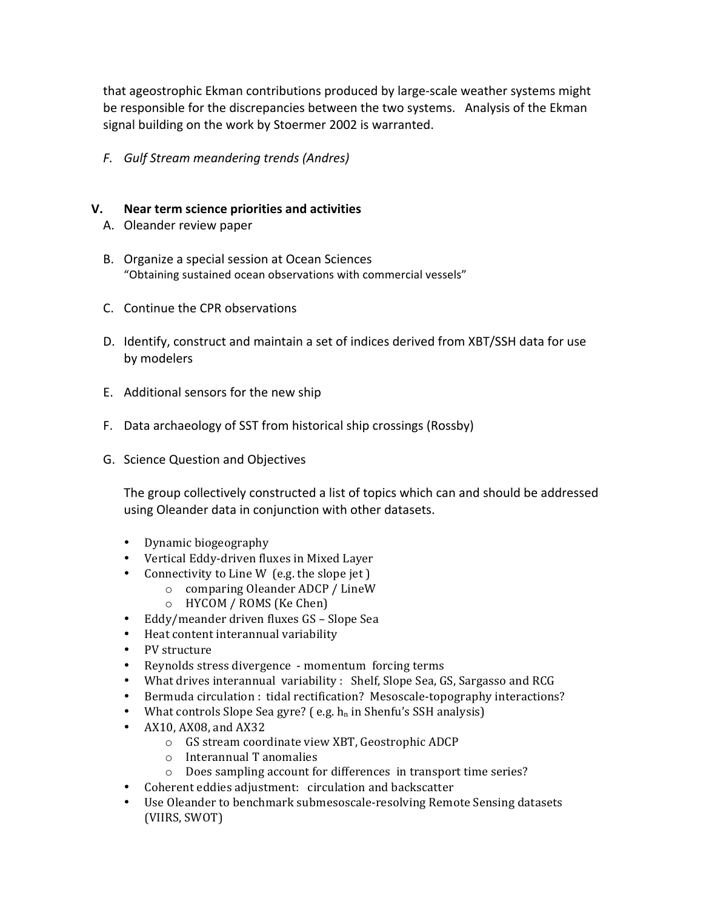that ageostrophic Ekman contributions produced by large-scale weather systems might be responsible for the discrepancies between the two systems. Analysis of the Ekman signal building on the work by Stoermer 2002 is warranted.

*F. Gulf Stream meandering trends (Andres)*

#### **V. Near term science priorities and activities**

- A. Oleander review paper
- B. Organize a special session at Ocean Sciences "Obtaining sustained ocean observations with commercial vessels"
- C. Continue the CPR observations
- D. Identify, construct and maintain a set of indices derived from XBT/SSH data for use by modelers
- E. Additional sensors for the new ship
- F. Data archaeology of SST from historical ship crossings (Rossby)
- G. Science Question and Objectives

The group collectively constructed a list of topics which can and should be addressed using Oleander data in conjunction with other datasets.

- Dynamic biogeography
- Vertical Eddy-driven fluxes in Mixed Layer
- Connectivity to Line W  $(e.g.$  the slope jet  $)$ 
	- $\circ$  comparing Oleander ADCP / LineW
	- $\circ$  HYCOM / ROMS (Ke Chen)
- Eddy/meander driven fluxes GS Slope Sea
- Heat content interannual variability
- PV structure
- Reynolds stress divergence momentum forcing terms
- What drives interannual variability: Shelf, Slope Sea, GS, Sargasso and RCG
- Bermuda circulation : tidal rectification? Mesoscale-topography interactions?
- What controls Slope Sea gyre? (e.g.  $h_n$  in Shenfu's SSH analysis)
- $AX10, AX08, and AX32$ 
	- o GS stream coordinate view XBT, Geostrophic ADCP
	- $\circ$  Interannual T anomalies
	- o Does sampling account for differences in transport time series?
- Coherent eddies adjustment: circulation and backscatter
- Use Oleander to benchmark submesoscale-resolving Remote Sensing datasets (VIIRS, SWOT)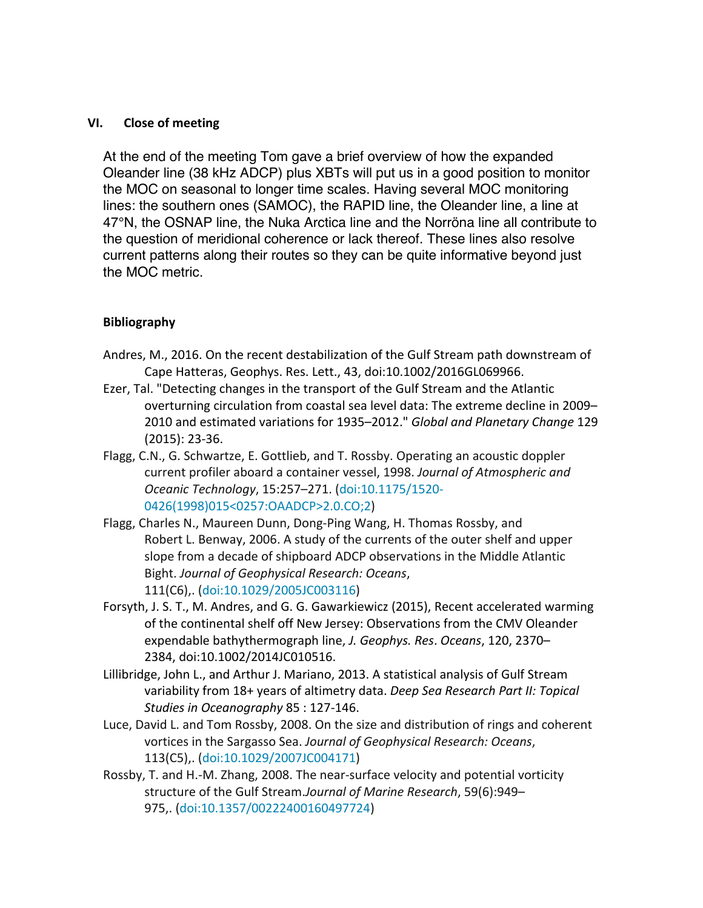#### **VI. Close of meeting**

At the end of the meeting Tom gave a brief overview of how the expanded Oleander line (38 kHz ADCP) plus XBTs will put us in a good position to monitor the MOC on seasonal to longer time scales. Having several MOC monitoring lines: the southern ones (SAMOC), the RAPID line, the Oleander line, a line at 47°N, the OSNAP line, the Nuka Arctica line and the Norröna line all contribute to the question of meridional coherence or lack thereof. These lines also resolve current patterns along their routes so they can be quite informative beyond just the MOC metric.

#### **Bibliography**

- Andres, M., 2016. On the recent destabilization of the Gulf Stream path downstream of Cape Hatteras, Geophys. Res. Lett., 43, doi:10.1002/2016GL069966.
- Ezer, Tal. "Detecting changes in the transport of the Gulf Stream and the Atlantic overturning circulation from coastal sea level data: The extreme decline in 2009– 2010 and estimated variations for 1935–2012." *Global and Planetary Change* 129  $(2015): 23-36.$
- Flagg, C.N., G. Schwartze, E. Gottlieb, and T. Rossby. Operating an acoustic doppler current profiler aboard a container vessel, 1998. *Journal of Atmospheric and Oceanic Technology*, 15:257–271. (doi:10.1175/1520- 0426(1998)015<0257:OAADCP>2.0.CO;2)
- Flagg, Charles N., Maureen Dunn, Dong-Ping Wang, H. Thomas Rossby, and Robert L. Benway, 2006. A study of the currents of the outer shelf and upper slope from a decade of shipboard ADCP observations in the Middle Atlantic Bight. *Journal of Geophysical Research: Oceans*, 111(C6),. (doi:10.1029/2005JC003116)
- Forsyth, J. S. T., M. Andres, and G. G. Gawarkiewicz (2015), Recent accelerated warming of the continental shelf off New Jersey: Observations from the CMV Oleander expendable bathythermograph line, *J. Geophys. Res. Oceans*, 120, 2370– 2384, doi:10.1002/2014JC010516.
- Lillibridge, John L., and Arthur J. Mariano, 2013. A statistical analysis of Gulf Stream variability from 18+ years of altimetry data. *Deep Sea Research Part II: Topical* Studies in Oceanography 85 : 127-146.
- Luce, David L. and Tom Rossby, 2008. On the size and distribution of rings and coherent vortices in the Sargasso Sea. *Journal of Geophysical Research: Oceans*, 113(C5),. (doi:10.1029/2007JC004171)
- Rossby, T. and H.-M. Zhang, 2008. The near-surface velocity and potential vorticity structure of the Gulf Stream.*Journal of Marine Research*, 59(6):949-975,. (doi:10.1357/00222400160497724)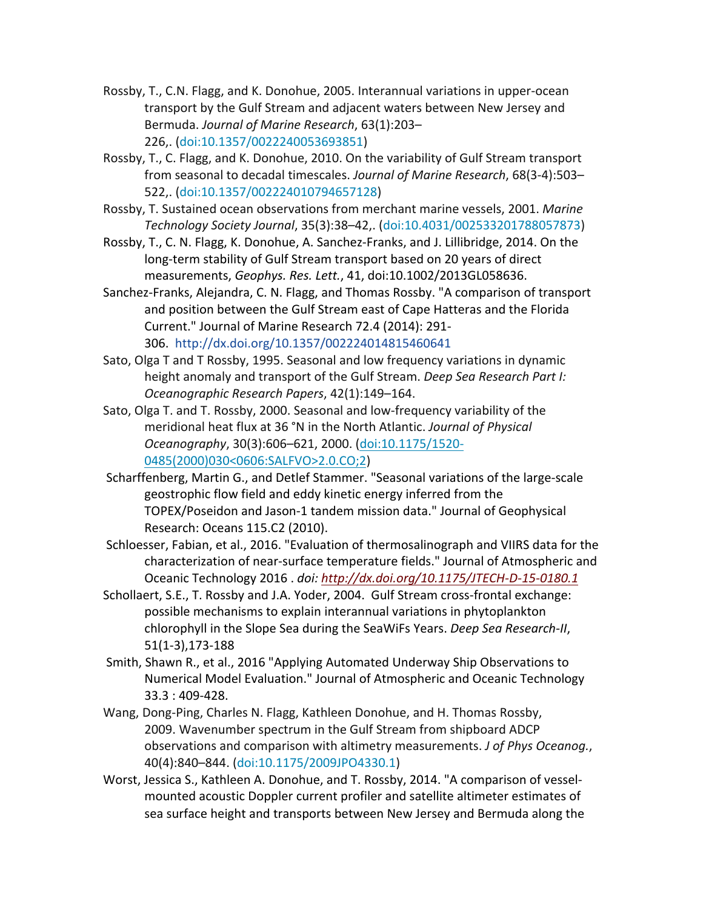- Rossby, T., C.N. Flagg, and K. Donohue, 2005. Interannual variations in upper-ocean transport by the Gulf Stream and adjacent waters between New Jersey and Bermuda. *Journal of Marine Research*, 63(1):203– 226,. (doi:10.1357/0022240053693851)
- Rossby, T., C. Flagg, and K. Donohue, 2010. On the variability of Gulf Stream transport from seasonal to decadal timescales. *Journal of Marine Research*, 68(3-4):503– 522,. (doi:10.1357/002224010794657128)
- Rossby, T. Sustained ocean observations from merchant marine vessels, 2001. Marine *Technology Society Journal*, 35(3):38–42,. (doi:10.4031/002533201788057873)
- Rossby, T., C. N. Flagg, K. Donohue, A. Sanchez-Franks, and J. Lillibridge, 2014. On the long-term stability of Gulf Stream transport based on 20 years of direct measurements, *Geophys. Res. Lett.*, 41, doi:10.1002/2013GL058636.
- Sanchez-Franks, Alejandra, C. N. Flagg, and Thomas Rossby. "A comparison of transport and position between the Gulf Stream east of Cape Hatteras and the Florida Current." Journal of Marine Research 72.4 (2014): 291-306. http://dx.doi.org/10.1357/002224014815460641
- Sato, Olga T and T Rossby, 1995. Seasonal and low frequency variations in dynamic height anomaly and transport of the Gulf Stream. *Deep Sea Research Part I: Oceanographic Research Papers*, 42(1):149–164.
- Sato, Olga T. and T. Rossby, 2000. Seasonal and low-frequency variability of the meridional heat flux at 36 °N in the North Atlantic. *Journal of Physical Oceanography*, 30(3):606–621, 2000. (doi:10.1175/1520- 0485(2000)030<0606:SALFVO>2.0.CO;2)
- Scharffenberg, Martin G., and Detlef Stammer. "Seasonal variations of the large-scale geostrophic flow field and eddy kinetic energy inferred from the TOPEX/Poseidon and Jason-1 tandem mission data." Journal of Geophysical Research: Oceans 115.C2 (2010).
- Schloesser, Fabian, et al., 2016. "Evaluation of thermosalinograph and VIIRS data for the characterization of near-surface temperature fields." Journal of Atmospheric and Oceanic Technology 2016 . *doi: http://dx.doi.org/10.1175/JTECH-D-15-0180.1*
- Schollaert, S.E., T. Rossby and J.A. Yoder, 2004. Gulf Stream cross-frontal exchange: possible mechanisms to explain interannual variations in phytoplankton chlorophyll in the Slope Sea during the SeaWiFs Years. *Deep Sea Research-II*, 51(1-3),173-188
- Smith, Shawn R., et al., 2016 "Applying Automated Underway Ship Observations to Numerical Model Evaluation." Journal of Atmospheric and Oceanic Technology 33.3 : 409-428.
- Wang, Dong-Ping, Charles N. Flagg, Kathleen Donohue, and H. Thomas Rossby, 2009. Wavenumber spectrum in the Gulf Stream from shipboard ADCP observations and comparison with altimetry measurements. *J of Phys Oceanog.*, 40(4):840–844. (doi:10.1175/2009JPO4330.1)
- Worst, Jessica S., Kathleen A. Donohue, and T. Rossby, 2014. "A comparison of vesselmounted acoustic Doppler current profiler and satellite altimeter estimates of sea surface height and transports between New Jersey and Bermuda along the